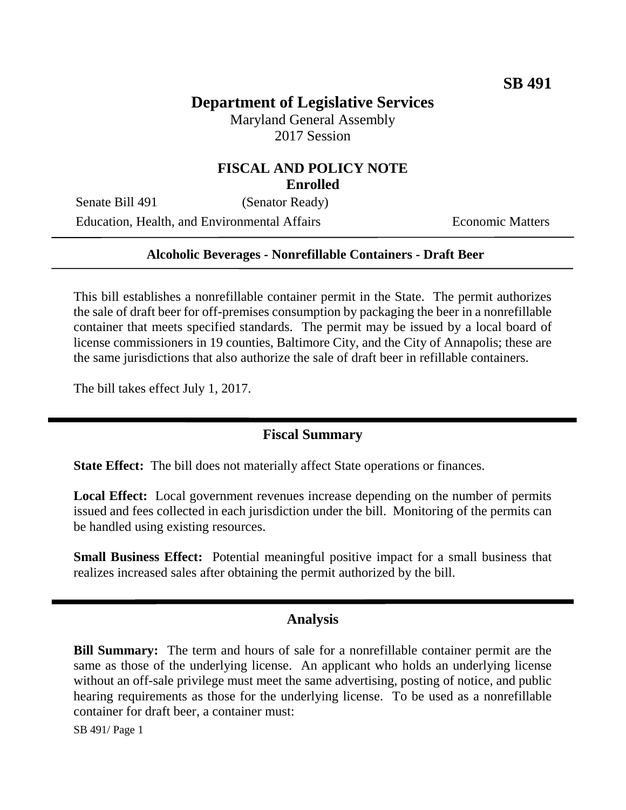# **Department of Legislative Services**

Maryland General Assembly 2017 Session

### **FISCAL AND POLICY NOTE Enrolled**

Senate Bill 491 (Senator Ready) Education, Health, and Environmental Affairs Economic Matters

### **Alcoholic Beverages - Nonrefillable Containers - Draft Beer**

This bill establishes a nonrefillable container permit in the State. The permit authorizes the sale of draft beer for off-premises consumption by packaging the beer in a nonrefillable container that meets specified standards. The permit may be issued by a local board of license commissioners in 19 counties, Baltimore City, and the City of Annapolis; these are the same jurisdictions that also authorize the sale of draft beer in refillable containers.

The bill takes effect July 1, 2017.

## **Fiscal Summary**

**State Effect:** The bill does not materially affect State operations or finances.

**Local Effect:** Local government revenues increase depending on the number of permits issued and fees collected in each jurisdiction under the bill. Monitoring of the permits can be handled using existing resources.

**Small Business Effect:** Potential meaningful positive impact for a small business that realizes increased sales after obtaining the permit authorized by the bill.

#### **Analysis**

**Bill Summary:** The term and hours of sale for a nonrefillable container permit are the same as those of the underlying license. An applicant who holds an underlying license without an off-sale privilege must meet the same advertising, posting of notice, and public hearing requirements as those for the underlying license. To be used as a nonrefillable container for draft beer, a container must:

SB 491/ Page 1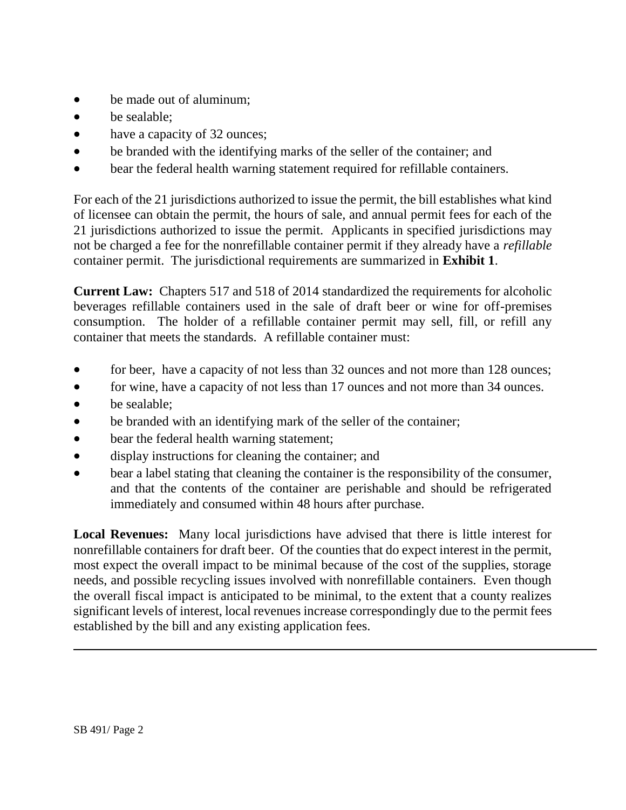- be made out of aluminum;
- be sealable:
- have a capacity of 32 ounces;
- be branded with the identifying marks of the seller of the container; and
- bear the federal health warning statement required for refillable containers.

For each of the 21 jurisdictions authorized to issue the permit, the bill establishes what kind of licensee can obtain the permit, the hours of sale, and annual permit fees for each of the 21 jurisdictions authorized to issue the permit. Applicants in specified jurisdictions may not be charged a fee for the nonrefillable container permit if they already have a *refillable* container permit. The jurisdictional requirements are summarized in **Exhibit 1**.

**Current Law:** Chapters 517 and 518 of 2014 standardized the requirements for alcoholic beverages refillable containers used in the sale of draft beer or wine for off-premises consumption. The holder of a refillable container permit may sell, fill, or refill any container that meets the standards. A refillable container must:

- for beer, have a capacity of not less than 32 ounces and not more than 128 ounces;
- for wine, have a capacity of not less than 17 ounces and not more than 34 ounces.
- be sealable;
- be branded with an identifying mark of the seller of the container;
- bear the federal health warning statement;
- display instructions for cleaning the container; and
- bear a label stating that cleaning the container is the responsibility of the consumer, and that the contents of the container are perishable and should be refrigerated immediately and consumed within 48 hours after purchase.

**Local Revenues:** Many local jurisdictions have advised that there is little interest for nonrefillable containers for draft beer. Of the counties that do expect interest in the permit, most expect the overall impact to be minimal because of the cost of the supplies, storage needs, and possible recycling issues involved with nonrefillable containers. Even though the overall fiscal impact is anticipated to be minimal, to the extent that a county realizes significant levels of interest, local revenues increase correspondingly due to the permit fees established by the bill and any existing application fees.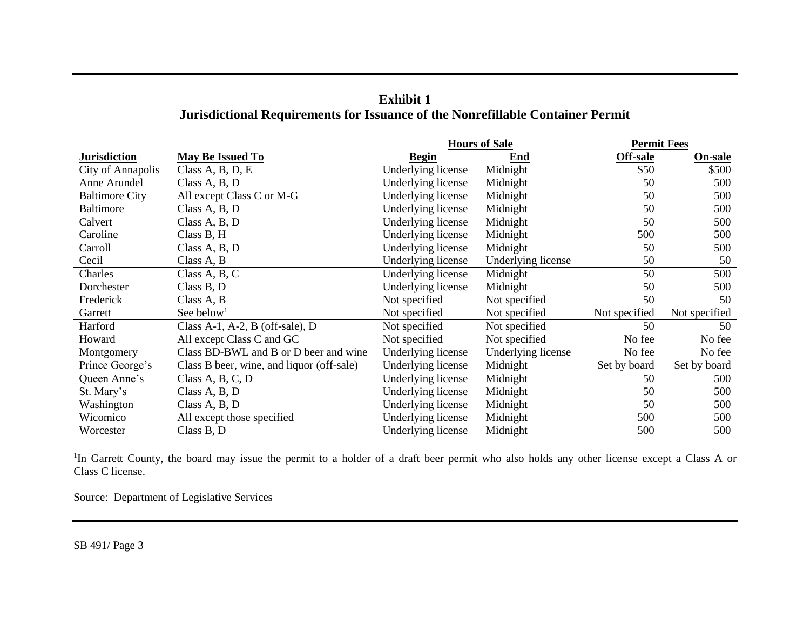| <b>Exhibit 1</b>                                                                      |
|---------------------------------------------------------------------------------------|
| <b>Jurisdictional Requirements for Issuance of the Nonrefillable Container Permit</b> |

|                       |                                           | <b>Hours of Sale</b> |                    | <b>Permit Fees</b> |                |
|-----------------------|-------------------------------------------|----------------------|--------------------|--------------------|----------------|
| <b>Jurisdiction</b>   | <b>May Be Issued To</b>                   | <b>Begin</b>         | End                | <b>Off-sale</b>    | <b>On-sale</b> |
| City of Annapolis     | Class A, B, D, E                          | Underlying license   | Midnight           | \$50               | \$500          |
| Anne Arundel          | Class A, B, D                             | Underlying license   | Midnight           | 50                 | 500            |
| <b>Baltimore City</b> | All except Class C or M-G                 | Underlying license   | Midnight           | 50                 | 500            |
| <b>Baltimore</b>      | Class A, B, D                             | Underlying license   | Midnight           | 50                 | 500            |
| Calvert               | Class A, B, D                             | Underlying license   | Midnight           | 50                 | 500            |
| Caroline              | Class B, H                                | Underlying license   | Midnight           | 500                | 500            |
| Carroll               | Class A, B, D                             | Underlying license   | Midnight           | 50                 | 500            |
| Cecil                 | Class A, B                                | Underlying license   | Underlying license | 50                 | 50             |
| Charles               | Class A, B, C                             | Underlying license   | Midnight           | 50                 | 500            |
| Dorchester            | Class B, D                                | Underlying license   | Midnight           | 50                 | 500            |
| Frederick             | Class A, B                                | Not specified        | Not specified      | 50                 | 50             |
| Garrett               | See below <sup>1</sup>                    | Not specified        | Not specified      | Not specified      | Not specified  |
| Harford               | Class A-1, A-2, B (off-sale), D           | Not specified        | Not specified      | 50                 | 50             |
| Howard                | All except Class C and GC                 | Not specified        | Not specified      | No fee             | No fee         |
| Montgomery            | Class BD-BWL and B or D beer and wine     | Underlying license   | Underlying license | No fee             | No fee         |
| Prince George's       | Class B beer, wine, and liquor (off-sale) | Underlying license   | Midnight           | Set by board       | Set by board   |
| Queen Anne's          | Class A, B, C, D                          | Underlying license   | Midnight           | 50                 | 500            |
| St. Mary's            | Class A, B, D                             | Underlying license   | Midnight           | 50                 | 500            |
| Washington            | Class A, B, D                             | Underlying license   | Midnight           | 50                 | 500            |
| Wicomico              | All except those specified                | Underlying license   | Midnight           | 500                | 500            |
| Worcester             | Class B, D                                | Underlying license   | Midnight           | 500                | 500            |

<sup>1</sup>In Garrett County, the board may issue the permit to a holder of a draft beer permit who also holds any other license except a Class A or Class C license.

Source: Department of Legislative Services